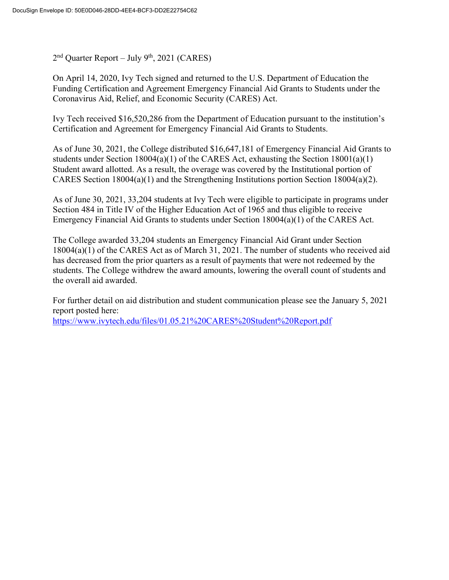$2<sup>nd</sup>$  Quarter Report – July 9<sup>th</sup>, 2021 (CARES)

On April 14, 2020, Ivy Tech signed and returned to the U.S. Department of Education the Funding Certification and Agreement Emergency Financial Aid Grants to Students under the Coronavirus Aid, Relief, and Economic Security (CARES) Act.

Ivy Tech received \$16,520,286 from the Department of Education pursuant to the institution's Certification and Agreement for Emergency Financial Aid Grants to Students.

As of June 30, 2021, the College distributed \$16,647,181 of Emergency Financial Aid Grants to students under Section 18004(a)(1) of the CARES Act, exhausting the Section  $18001(a)(1)$ Student award allotted. As a result, the overage was covered by the Institutional portion of CARES Section 18004(a)(1) and the Strengthening Institutions portion Section 18004(a)(2).

As of June 30, 2021, 33,204 students at Ivy Tech were eligible to participate in programs under Section 484 in Title IV of the Higher Education Act of 1965 and thus eligible to receive Emergency Financial Aid Grants to students under Section 18004(a)(1) of the CARES Act.

The College awarded 33,204 students an Emergency Financial Aid Grant under Section 18004(a)(1) of the CARES Act as of March 31, 2021. The number of students who received aid has decreased from the prior quarters as a result of payments that were not redeemed by the students. The College withdrew the award amounts, lowering the overall count of students and the overall aid awarded.

For further detail on aid distribution and student communication please see the January 5, 2021 report posted here: https://www.ivytech.edu/files/01.05.21%20CARES%20Student%20Report.pdf